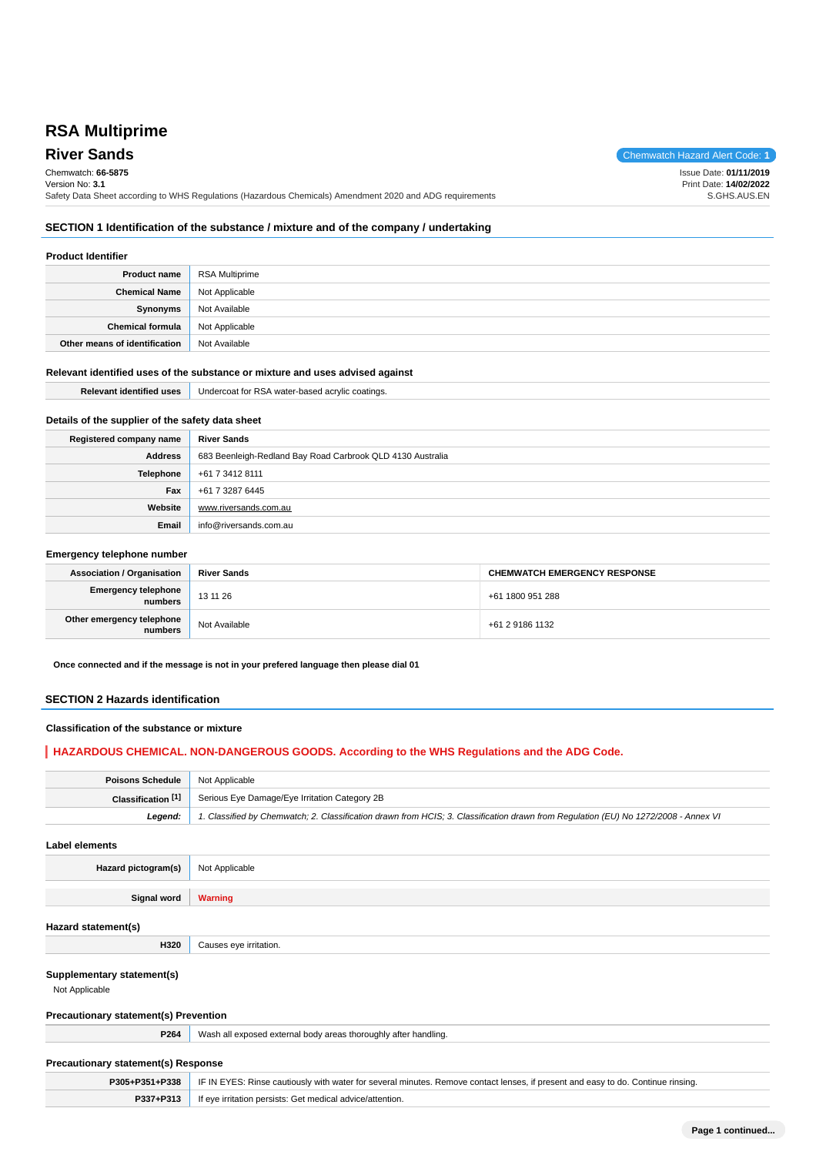# **RSA Multiprime**

**River Sands** Chemwatch Hazard Alert Code: **1** Chemwatch: **66-5875** Version No: **3.1** Safety Data Sheet according to WHS Regulations (Hazardous Chemicals) Amendment 2020 and ADG requirements Issue Date: **01/11/2019** Print Date: **14/02/2022** S.GHS.AUS.EN

### **SECTION 1 Identification of the substance / mixture and of the company / undertaking**

#### **Product Identifier**

| <b>Product name</b>           | RSA Multiprime |
|-------------------------------|----------------|
| <b>Chemical Name</b>          | Not Applicable |
| Synonyms                      | Not Available  |
| <b>Chemical formula</b>       | Not Applicable |
| Other means of identification | Not Available  |

#### **Relevant identified uses of the substance or mixture and uses advised against**

| <b>Relevant identified uses</b>                  | Undercoat for RSA water-based acrylic coatings.            |
|--------------------------------------------------|------------------------------------------------------------|
|                                                  |                                                            |
| Details of the supplier of the safety data sheet |                                                            |
| Registered company name                          | <b>River Sands</b>                                         |
| <b>Address</b>                                   | 683 Beenleigh-Redland Bay Road Carbrook QLD 4130 Australia |
| Telephone                                        | +61 7 3412 8111                                            |
| Fax                                              | +61 7 3287 6445                                            |
| Website                                          | www.riversands.com.au                                      |
| Email                                            | info@riversands.com.au                                     |

#### **Emergency telephone number**

| <b>Association / Organisation</b>    | <b>River Sands</b> | <b>CHEMWATCH EMERGENCY RESPONSE</b> |
|--------------------------------------|--------------------|-------------------------------------|
| Emergency telephone<br>numbers       | 13 11 26           | +61 1800 951 288                    |
| Other emergency telephone<br>numbers | Not Available      | +61 2 9186 1132                     |

**Once connected and if the message is not in your prefered language then please dial 01**

#### **SECTION 2 Hazards identification**

#### **Classification of the substance or mixture**

### **HAZARDOUS CHEMICAL. NON-DANGEROUS GOODS. According to the WHS Regulations and the ADG Code.**

| <b>Poisons Schedule</b> Not Applicable |                                                                                                                                     |
|----------------------------------------|-------------------------------------------------------------------------------------------------------------------------------------|
|                                        | <b>Classification [1]</b> Serious Eye Damage/Eye Irritation Category 2B                                                             |
| Leaend:                                | 1. Classified by Chemwatch; 2. Classification drawn from HCIS; 3. Classification drawn from Requlation (EU) No 1272/2008 - Annex VI |

#### **Label elements**

| Hazard pictogram(s) | Not Applicable |
|---------------------|----------------|
|                     |                |

**Signal word Warning**

#### **Hazard statement(s)**

#### **Supplementary statement(s)**

Not Applicable

#### **Precautionary statement(s) Prevention**

**H320** Causes eye irritation.

**P264** Wash all exposed external body areas thoroughly after handling.

### **Precautionary statement(s) Response**

| P305+P351+P338 | IF IN EYES: Rinse cautiously with water for several minutes. Remove contact lenses, if present and easy to do. Continue rinsing. |
|----------------|----------------------------------------------------------------------------------------------------------------------------------|
|                | <b>If eve irritation persists: Get medical advice/attention.</b>                                                                 |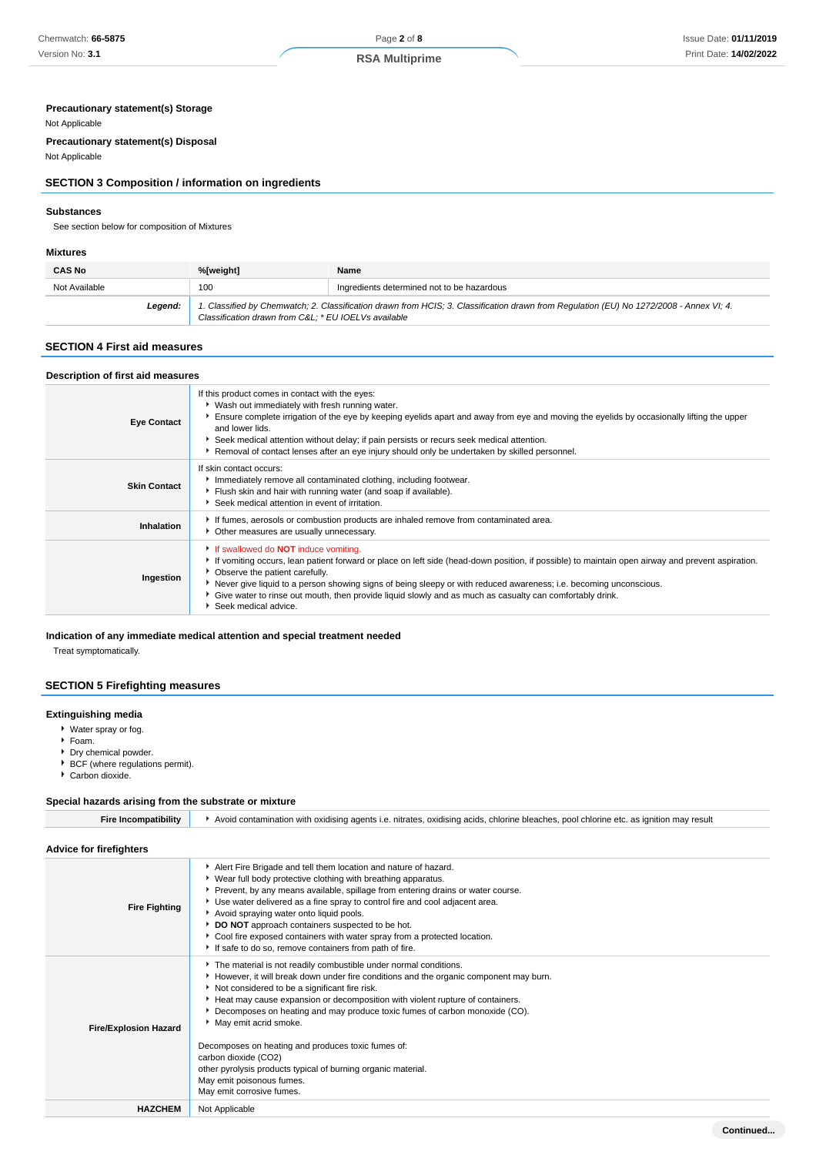### **Precautionary statement(s) Storage**

### Not Applicable

**Precautionary statement(s) Disposal**

### Not Applicable

### **SECTION 3 Composition / information on ingredients**

#### **Substances**

See section below for composition of Mixtures

#### **Mixtures**

| <b>CAS No</b> | %[weight]                                                                                                                                                                                      | Name                                       |
|---------------|------------------------------------------------------------------------------------------------------------------------------------------------------------------------------------------------|--------------------------------------------|
| Not Available | 100                                                                                                                                                                                            | Ingredients determined not to be hazardous |
| Legend:       | 1. Classified by Chemwatch; 2. Classification drawn from HCIS; 3. Classification drawn from Regulation (EU) No 1272/2008 - Annex VI; 4.<br>Classification drawn from C&L * EU IOELVs available |                                            |

### **SECTION 4 First aid measures**

| Description of first aid measures |                                                                                                                                                                                                                                                                                                                                                                                                                                                                                                |
|-----------------------------------|------------------------------------------------------------------------------------------------------------------------------------------------------------------------------------------------------------------------------------------------------------------------------------------------------------------------------------------------------------------------------------------------------------------------------------------------------------------------------------------------|
| <b>Eye Contact</b>                | If this product comes in contact with the eyes:<br>▶ Wash out immediately with fresh running water.<br>Ensure complete irrigation of the eye by keeping eyelids apart and away from eye and moving the eyelids by occasionally lifting the upper<br>and lower lids.<br>▶ Seek medical attention without delay; if pain persists or recurs seek medical attention.<br>Removal of contact lenses after an eye injury should only be undertaken by skilled personnel.                             |
| <b>Skin Contact</b>               | If skin contact occurs:<br>Immediately remove all contaminated clothing, including footwear.<br>Flush skin and hair with running water (and soap if available).<br>Seek medical attention in event of irritation.                                                                                                                                                                                                                                                                              |
| Inhalation                        | If fumes, aerosols or combustion products are inhaled remove from contaminated area.<br>• Other measures are usually unnecessary.                                                                                                                                                                                                                                                                                                                                                              |
| Ingestion                         | If swallowed do <b>NOT</b> induce vomiting.<br>If vomiting occurs, lean patient forward or place on left side (head-down position, if possible) to maintain open airway and prevent aspiration.<br>• Observe the patient carefully.<br>▶ Never give liquid to a person showing signs of being sleepy or with reduced awareness; i.e. becoming unconscious.<br>Give water to rinse out mouth, then provide liquid slowly and as much as casualty can comfortably drink.<br>Seek medical advice. |

### **Indication of any immediate medical attention and special treatment needed**

Treat symptomatically.

### **SECTION 5 Firefighting measures**

#### **Extinguishing media**

- Water spray or fog.
- Foam.
- Dry chemical powder.
- BCF (where regulations permit).
- ▶ Carbon dioxide.

### **Special hazards arising from the substrate or mixture**

| <b>Fire Incompatibility</b>    | Avoid contamination with oxidising agents i.e. nitrates, oxidising acids, chlorine bleaches, pool chlorine etc. as ignition may result                                                                                                                                                                                                                                                                                                                                                                                                                                                                      |
|--------------------------------|-------------------------------------------------------------------------------------------------------------------------------------------------------------------------------------------------------------------------------------------------------------------------------------------------------------------------------------------------------------------------------------------------------------------------------------------------------------------------------------------------------------------------------------------------------------------------------------------------------------|
| <b>Advice for firefighters</b> |                                                                                                                                                                                                                                                                                                                                                                                                                                                                                                                                                                                                             |
| <b>Fire Fighting</b>           | Alert Fire Brigade and tell them location and nature of hazard.<br>▶ Wear full body protective clothing with breathing apparatus.<br>Prevent, by any means available, spillage from entering drains or water course.<br>Use water delivered as a fine spray to control fire and cool adjacent area.<br>Avoid spraying water onto liquid pools.<br>DO NOT approach containers suspected to be hot.<br>Cool fire exposed containers with water spray from a protected location.<br>If safe to do so, remove containers from path of fire.                                                                     |
| <b>Fire/Explosion Hazard</b>   | The material is not readily combustible under normal conditions.<br>However, it will break down under fire conditions and the organic component may burn.<br>Not considered to be a significant fire risk.<br>Heat may cause expansion or decomposition with violent rupture of containers.<br>Decomposes on heating and may produce toxic fumes of carbon monoxide (CO).<br>May emit acrid smoke.<br>Decomposes on heating and produces toxic fumes of:<br>carbon dioxide (CO2)<br>other pyrolysis products typical of burning organic material.<br>May emit poisonous fumes.<br>May emit corrosive fumes. |
| <b>HAZCHEM</b>                 | Not Applicable                                                                                                                                                                                                                                                                                                                                                                                                                                                                                                                                                                                              |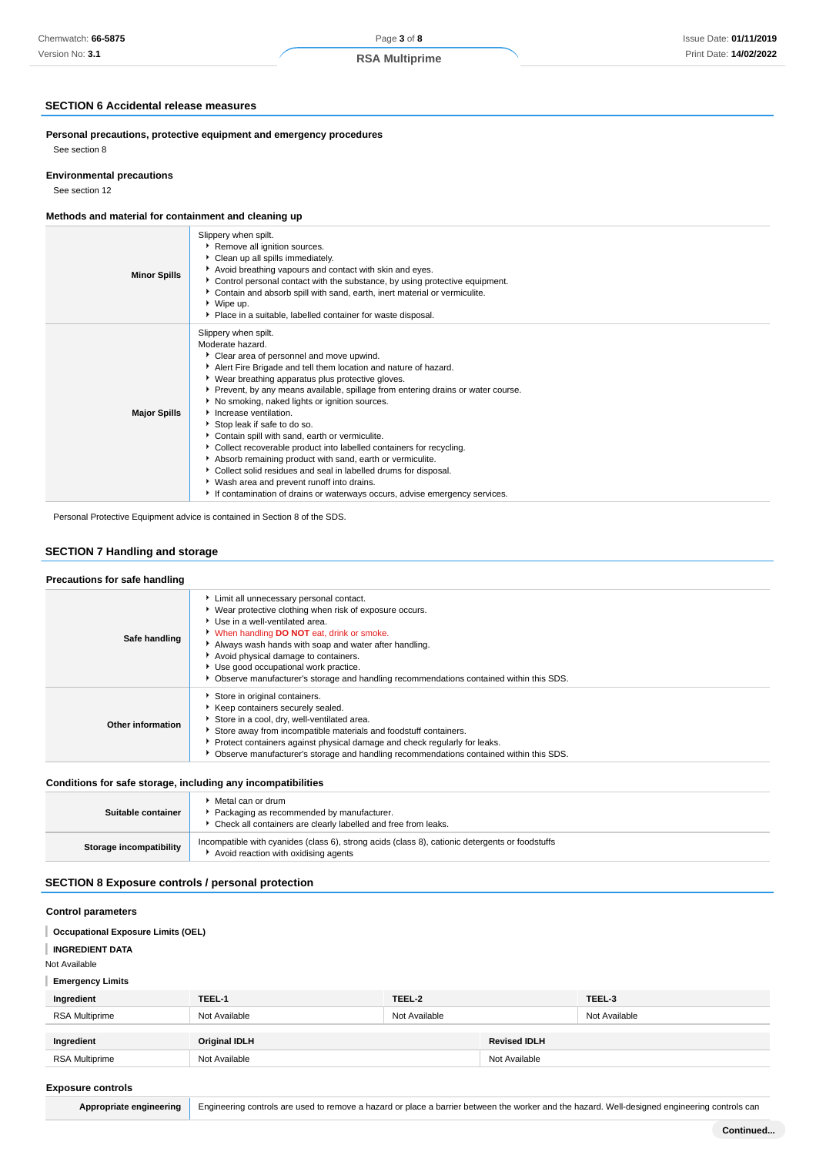### **SECTION 6 Accidental release measures**

**Personal precautions, protective equipment and emergency procedures** See section 8

### **Environmental precautions**

See section 12

### **Methods and material for containment and cleaning up**

| <b>Minor Spills</b> | Slippery when spilt.<br>Remove all ignition sources.<br>Clean up all spills immediately.<br>Avoid breathing vapours and contact with skin and eyes.<br>Control personal contact with the substance, by using protective equipment.<br>Contain and absorb spill with sand, earth, inert material or vermiculite.<br>$\cdot$ Wipe up.<br>Place in a suitable, labelled container for waste disposal.                                                                                                                                                                                                                                                                                                                                                                                                  |
|---------------------|-----------------------------------------------------------------------------------------------------------------------------------------------------------------------------------------------------------------------------------------------------------------------------------------------------------------------------------------------------------------------------------------------------------------------------------------------------------------------------------------------------------------------------------------------------------------------------------------------------------------------------------------------------------------------------------------------------------------------------------------------------------------------------------------------------|
| <b>Major Spills</b> | Slippery when spilt.<br>Moderate hazard.<br>Clear area of personnel and move upwind.<br>Alert Fire Brigade and tell them location and nature of hazard.<br>• Wear breathing apparatus plus protective gloves.<br>Prevent, by any means available, spillage from entering drains or water course.<br>▶ No smoking, naked lights or ignition sources.<br>Increase ventilation.<br>Stop leak if safe to do so.<br>Contain spill with sand, earth or vermiculite.<br>• Collect recoverable product into labelled containers for recycling.<br>Absorb remaining product with sand, earth or vermiculite.<br>Collect solid residues and seal in labelled drums for disposal.<br>▶ Wash area and prevent runoff into drains.<br>If contamination of drains or waterways occurs, advise emergency services. |

Personal Protective Equipment advice is contained in Section 8 of the SDS.

### **SECTION 7 Handling and storage**

### **Precautions for safe handling**

| <b>I</b> recaduotis for safe handling |                                                                                                                                                                                                                                                                                                                                                                                                                           |
|---------------------------------------|---------------------------------------------------------------------------------------------------------------------------------------------------------------------------------------------------------------------------------------------------------------------------------------------------------------------------------------------------------------------------------------------------------------------------|
| Safe handling                         | Limit all unnecessary personal contact.<br>▶ Wear protective clothing when risk of exposure occurs.<br>Use in a well-ventilated area.<br>When handling DO NOT eat, drink or smoke.<br>Always wash hands with soap and water after handling.<br>Avoid physical damage to containers.<br>▶ Use good occupational work practice.<br>▶ Observe manufacturer's storage and handling recommendations contained within this SDS. |
| Other information                     | Store in original containers.<br>▶ Keep containers securely sealed.<br>Store in a cool, dry, well-ventilated area.<br>Store away from incompatible materials and foodstuff containers.<br>Protect containers against physical damage and check regularly for leaks.<br>• Observe manufacturer's storage and handling recommendations contained within this SDS.                                                           |

### **Conditions for safe storage, including any incompatibilities**

| Suitable container      | Metal can or drum<br>Packaging as recommended by manufacturer.<br>• Check all containers are clearly labelled and free from leaks.      |
|-------------------------|-----------------------------------------------------------------------------------------------------------------------------------------|
| Storage incompatibility | Incompatible with cyanides (class 6), strong acids (class 8), cationic detergents or foodstuffs<br>Avoid reaction with oxidising agents |

## **SECTION 8 Exposure controls / personal protection**

### **Control parameters**

#### **Occupational Exposure Limits (OEL)** ı

**INGREDIENT DATA**

Not Available

**Emergency Limits**

| Ingredient     | TEEL-1               | TEEL-2        |                     | TEEL-3        |
|----------------|----------------------|---------------|---------------------|---------------|
| RSA Multiprime | Not Available        | Not Available |                     | Not Available |
|                |                      |               |                     |               |
| Ingredient     | <b>Original IDLH</b> |               | <b>Revised IDLH</b> |               |
| RSA Multiprime | Not Available        |               | Not Available       |               |

#### **Exposure controls**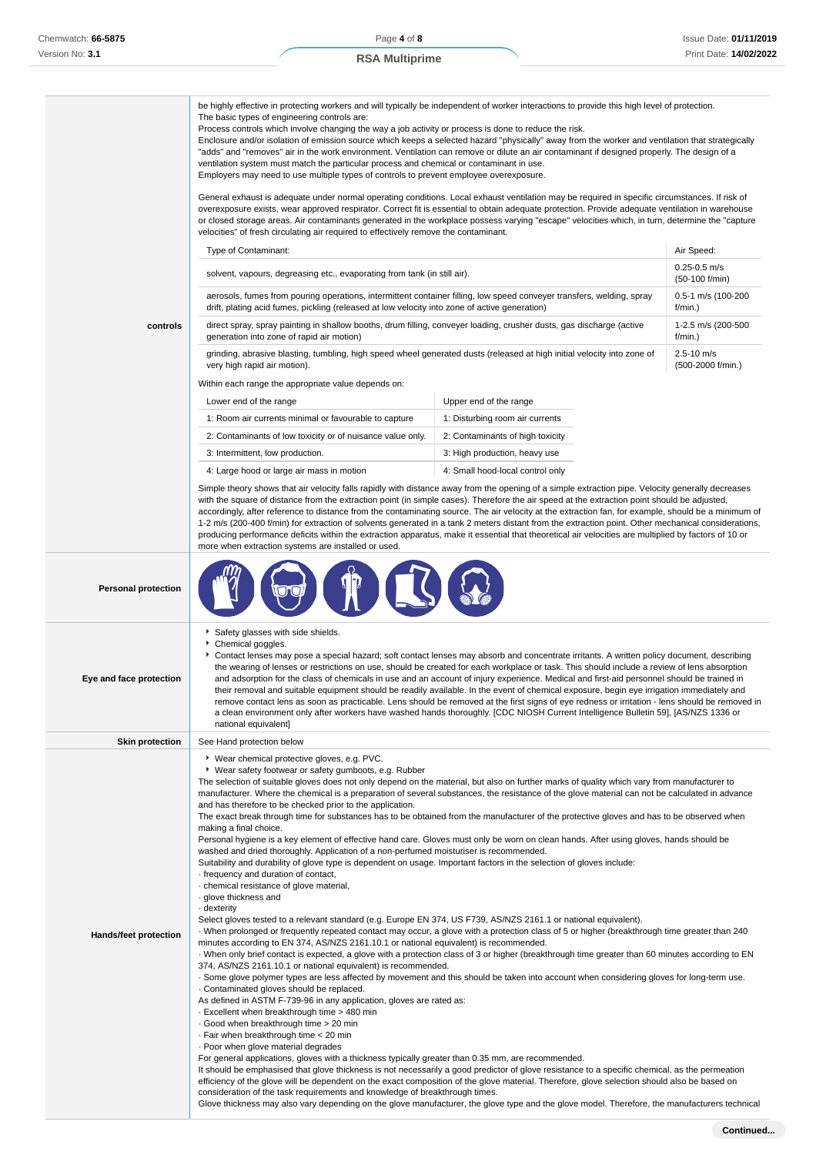|                              | be highly effective in protecting workers and will typically be independent of worker interactions to provide this high level of protection.<br>The basic types of engineering controls are:<br>Process controls which involve changing the way a job activity or process is done to reduce the risk.<br>Enclosure and/or isolation of emission source which keeps a selected hazard "physically" away from the worker and ventilation that strategically<br>"adds" and "removes" air in the work environment. Ventilation can remove or dilute an air contaminant if designed properly. The design of a<br>ventilation system must match the particular process and chemical or contaminant in use.<br>Employers may need to use multiple types of controls to prevent employee overexposure.<br>General exhaust is adequate under normal operating conditions. Local exhaust ventilation may be required in specific circumstances. If risk of<br>overexposure exists, wear approved respirator. Correct fit is essential to obtain adequate protection. Provide adequate ventilation in warehouse<br>or closed storage areas. Air contaminants generated in the workplace possess varying "escape" velocities which, in turn, determine the "capture<br>velocities" of fresh circulating air required to effectively remove the contaminant.                                                                                                                                                                                                                                                                                                                                                                                                                                                                                                                                                                                                                                                                                                                                                                                                                                                                                                                    |                                  |                                                                                                                                                |  |
|------------------------------|--------------------------------------------------------------------------------------------------------------------------------------------------------------------------------------------------------------------------------------------------------------------------------------------------------------------------------------------------------------------------------------------------------------------------------------------------------------------------------------------------------------------------------------------------------------------------------------------------------------------------------------------------------------------------------------------------------------------------------------------------------------------------------------------------------------------------------------------------------------------------------------------------------------------------------------------------------------------------------------------------------------------------------------------------------------------------------------------------------------------------------------------------------------------------------------------------------------------------------------------------------------------------------------------------------------------------------------------------------------------------------------------------------------------------------------------------------------------------------------------------------------------------------------------------------------------------------------------------------------------------------------------------------------------------------------------------------------------------------------------------------------------------------------------------------------------------------------------------------------------------------------------------------------------------------------------------------------------------------------------------------------------------------------------------------------------------------------------------------------------------------------------------------------------------------------------------------------------------------------------------------------------|----------------------------------|------------------------------------------------------------------------------------------------------------------------------------------------|--|
|                              | Type of Contaminant:                                                                                                                                                                                                                                                                                                                                                                                                                                                                                                                                                                                                                                                                                                                                                                                                                                                                                                                                                                                                                                                                                                                                                                                                                                                                                                                                                                                                                                                                                                                                                                                                                                                                                                                                                                                                                                                                                                                                                                                                                                                                                                                                                                                                                                               |                                  | Air Speed:                                                                                                                                     |  |
|                              |                                                                                                                                                                                                                                                                                                                                                                                                                                                                                                                                                                                                                                                                                                                                                                                                                                                                                                                                                                                                                                                                                                                                                                                                                                                                                                                                                                                                                                                                                                                                                                                                                                                                                                                                                                                                                                                                                                                                                                                                                                                                                                                                                                                                                                                                    |                                  | $0.25 - 0.5$ m/s                                                                                                                               |  |
|                              | solvent, vapours, degreasing etc., evaporating from tank (in still air).                                                                                                                                                                                                                                                                                                                                                                                                                                                                                                                                                                                                                                                                                                                                                                                                                                                                                                                                                                                                                                                                                                                                                                                                                                                                                                                                                                                                                                                                                                                                                                                                                                                                                                                                                                                                                                                                                                                                                                                                                                                                                                                                                                                           |                                  | $(50-100 f/min)$                                                                                                                               |  |
|                              | aerosols, fumes from pouring operations, intermittent container filling, low speed conveyer transfers, welding, spray<br>drift, plating acid fumes, pickling (released at low velocity into zone of active generation)                                                                                                                                                                                                                                                                                                                                                                                                                                                                                                                                                                                                                                                                                                                                                                                                                                                                                                                                                                                                                                                                                                                                                                                                                                                                                                                                                                                                                                                                                                                                                                                                                                                                                                                                                                                                                                                                                                                                                                                                                                             |                                  | 0.5-1 m/s (100-200<br>f/min.)                                                                                                                  |  |
| controls                     | direct spray, spray painting in shallow booths, drum filling, conveyer loading, crusher dusts, gas discharge (active<br>generation into zone of rapid air motion)                                                                                                                                                                                                                                                                                                                                                                                                                                                                                                                                                                                                                                                                                                                                                                                                                                                                                                                                                                                                                                                                                                                                                                                                                                                                                                                                                                                                                                                                                                                                                                                                                                                                                                                                                                                                                                                                                                                                                                                                                                                                                                  |                                  | 1-2.5 m/s (200-500<br>f/min.)                                                                                                                  |  |
|                              | grinding, abrasive blasting, tumbling, high speed wheel generated dusts (released at high initial velocity into zone of<br>very high rapid air motion).                                                                                                                                                                                                                                                                                                                                                                                                                                                                                                                                                                                                                                                                                                                                                                                                                                                                                                                                                                                                                                                                                                                                                                                                                                                                                                                                                                                                                                                                                                                                                                                                                                                                                                                                                                                                                                                                                                                                                                                                                                                                                                            |                                  | 2.5-10 m/s<br>(500-2000 f/min.)                                                                                                                |  |
|                              | Within each range the appropriate value depends on:                                                                                                                                                                                                                                                                                                                                                                                                                                                                                                                                                                                                                                                                                                                                                                                                                                                                                                                                                                                                                                                                                                                                                                                                                                                                                                                                                                                                                                                                                                                                                                                                                                                                                                                                                                                                                                                                                                                                                                                                                                                                                                                                                                                                                |                                  |                                                                                                                                                |  |
|                              | Lower end of the range                                                                                                                                                                                                                                                                                                                                                                                                                                                                                                                                                                                                                                                                                                                                                                                                                                                                                                                                                                                                                                                                                                                                                                                                                                                                                                                                                                                                                                                                                                                                                                                                                                                                                                                                                                                                                                                                                                                                                                                                                                                                                                                                                                                                                                             | Upper end of the range           |                                                                                                                                                |  |
|                              | 1: Room air currents minimal or favourable to capture                                                                                                                                                                                                                                                                                                                                                                                                                                                                                                                                                                                                                                                                                                                                                                                                                                                                                                                                                                                                                                                                                                                                                                                                                                                                                                                                                                                                                                                                                                                                                                                                                                                                                                                                                                                                                                                                                                                                                                                                                                                                                                                                                                                                              | 1: Disturbing room air currents  |                                                                                                                                                |  |
|                              | 2: Contaminants of low toxicity or of nuisance value only.                                                                                                                                                                                                                                                                                                                                                                                                                                                                                                                                                                                                                                                                                                                                                                                                                                                                                                                                                                                                                                                                                                                                                                                                                                                                                                                                                                                                                                                                                                                                                                                                                                                                                                                                                                                                                                                                                                                                                                                                                                                                                                                                                                                                         | 2: Contaminants of high toxicity |                                                                                                                                                |  |
|                              | 3: Intermittent, low production.                                                                                                                                                                                                                                                                                                                                                                                                                                                                                                                                                                                                                                                                                                                                                                                                                                                                                                                                                                                                                                                                                                                                                                                                                                                                                                                                                                                                                                                                                                                                                                                                                                                                                                                                                                                                                                                                                                                                                                                                                                                                                                                                                                                                                                   | 3: High production, heavy use    |                                                                                                                                                |  |
|                              | 4: Large hood or large air mass in motion                                                                                                                                                                                                                                                                                                                                                                                                                                                                                                                                                                                                                                                                                                                                                                                                                                                                                                                                                                                                                                                                                                                                                                                                                                                                                                                                                                                                                                                                                                                                                                                                                                                                                                                                                                                                                                                                                                                                                                                                                                                                                                                                                                                                                          | 4: Small hood-local control only |                                                                                                                                                |  |
|                              | Simple theory shows that air velocity falls rapidly with distance away from the opening of a simple extraction pipe. Velocity generally decreases<br>with the square of distance from the extraction point (in simple cases). Therefore the air speed at the extraction point should be adjusted,<br>accordingly, after reference to distance from the contaminating source. The air velocity at the extraction fan, for example, should be a minimum of<br>1-2 m/s (200-400 f/min) for extraction of solvents generated in a tank 2 meters distant from the extraction point. Other mechanical considerations,<br>producing performance deficits within the extraction apparatus, make it essential that theoretical air velocities are multiplied by factors of 10 or                                                                                                                                                                                                                                                                                                                                                                                                                                                                                                                                                                                                                                                                                                                                                                                                                                                                                                                                                                                                                                                                                                                                                                                                                                                                                                                                                                                                                                                                                            |                                  |                                                                                                                                                |  |
| <b>Personal protection</b>   | more when extraction systems are installed or used.                                                                                                                                                                                                                                                                                                                                                                                                                                                                                                                                                                                                                                                                                                                                                                                                                                                                                                                                                                                                                                                                                                                                                                                                                                                                                                                                                                                                                                                                                                                                                                                                                                                                                                                                                                                                                                                                                                                                                                                                                                                                                                                                                                                                                |                                  |                                                                                                                                                |  |
| Eye and face protection      | Safety glasses with side shields.<br>▶ Chemical goggles.<br>▶ Contact lenses may pose a special hazard; soft contact lenses may absorb and concentrate irritants. A written policy document, describing<br>the wearing of lenses or restrictions on use, should be created for each workplace or task. This should include a review of lens absorption<br>and adsorption for the class of chemicals in use and an account of injury experience. Medical and first-aid personnel should be trained in<br>their removal and suitable equipment should be readily available. In the event of chemical exposure, begin eye irrigation immediately and<br>remove contact lens as soon as practicable. Lens should be removed at the first signs of eye redness or irritation - lens should be removed in<br>a clean environment only after workers have washed hands thoroughly. [CDC NIOSH Current Intelligence Bulletin 59], [AS/NZS 1336 or<br>national equivalent]                                                                                                                                                                                                                                                                                                                                                                                                                                                                                                                                                                                                                                                                                                                                                                                                                                                                                                                                                                                                                                                                                                                                                                                                                                                                                                  |                                  |                                                                                                                                                |  |
| <b>Skin protection</b>       | See Hand protection below                                                                                                                                                                                                                                                                                                                                                                                                                                                                                                                                                                                                                                                                                                                                                                                                                                                                                                                                                                                                                                                                                                                                                                                                                                                                                                                                                                                                                                                                                                                                                                                                                                                                                                                                                                                                                                                                                                                                                                                                                                                                                                                                                                                                                                          |                                  |                                                                                                                                                |  |
| <b>Hands/feet protection</b> | ▶ Wear chemical protective gloves, e.g. PVC.<br>▶ Wear safety footwear or safety gumboots, e.g. Rubber<br>The selection of suitable gloves does not only depend on the material, but also on further marks of quality which vary from manufacturer to<br>manufacturer. Where the chemical is a preparation of several substances, the resistance of the glove material can not be calculated in advance<br>and has therefore to be checked prior to the application.<br>The exact break through time for substances has to be obtained from the manufacturer of the protective gloves and has to be observed when<br>making a final choice.<br>Personal hygiene is a key element of effective hand care. Gloves must only be worn on clean hands. After using gloves, hands should be<br>washed and dried thoroughly. Application of a non-perfumed moisturiser is recommended.<br>Suitability and durability of glove type is dependent on usage. Important factors in the selection of gloves include:<br>frequency and duration of contact,<br>· chemical resistance of glove material,<br>· glove thickness and<br>· dexterity<br>Select gloves tested to a relevant standard (e.g. Europe EN 374, US F739, AS/NZS 2161.1 or national equivalent).<br>When prolonged or frequently repeated contact may occur, a glove with a protection class of 5 or higher (breakthrough time greater than 240<br>minutes according to EN 374, AS/NZS 2161.10.1 or national equivalent) is recommended.<br>· When only brief contact is expected, a glove with a protection class of 3 or higher (breakthrough time greater than 60 minutes according to EN<br>374, AS/NZS 2161.10.1 or national equivalent) is recommended.<br>. Some glove polymer types are less affected by movement and this should be taken into account when considering gloves for long-term use.<br>Contaminated gloves should be replaced.<br>As defined in ASTM F-739-96 in any application, gloves are rated as:<br>- Excellent when breakthrough time > 480 min<br>Good when breakthrough time > 20 min<br>· Fair when breakthrough time < 20 min<br>. Poor when glove material degrades<br>For general applications, gloves with a thickness typically greater than 0.35 mm, are recommended. |                                  | It should be emphasised that glove thickness is not necessarily a good predictor of glove resistance to a specific chemical, as the permeation |  |
|                              | efficiency of the glove will be dependent on the exact composition of the glove material. Therefore, glove selection should also be based on<br>consideration of the task requirements and knowledge of breakthrough times.                                                                                                                                                                                                                                                                                                                                                                                                                                                                                                                                                                                                                                                                                                                                                                                                                                                                                                                                                                                                                                                                                                                                                                                                                                                                                                                                                                                                                                                                                                                                                                                                                                                                                                                                                                                                                                                                                                                                                                                                                                        |                                  |                                                                                                                                                |  |

Glove thickness may also vary depending on the glove manufacturer, the glove type and the glove model. Therefore, the manufacturers technical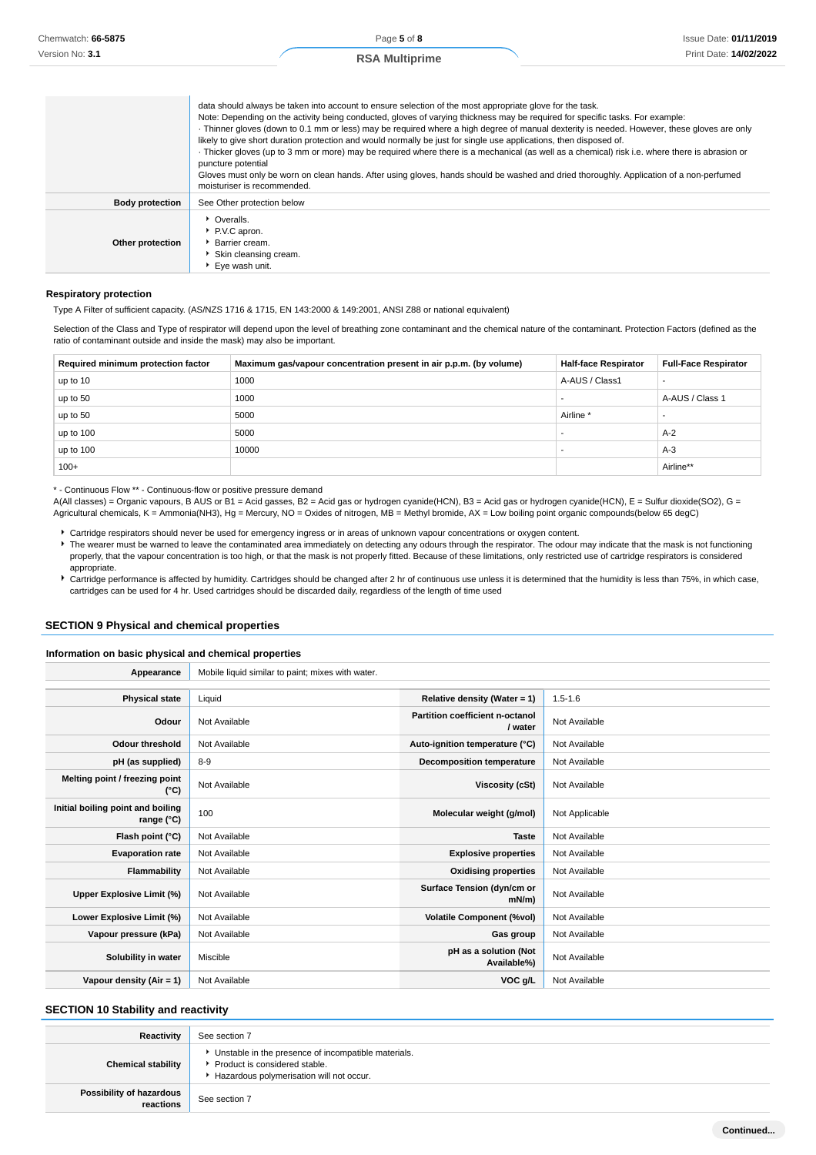|                        | data should always be taken into account to ensure selection of the most appropriate glove for the task.<br>Note: Depending on the activity being conducted, gloves of varying thickness may be required for specific tasks. For example:<br>· Thinner gloves (down to 0.1 mm or less) may be required where a high degree of manual dexterity is needed. However, these gloves are only<br>likely to give short duration protection and would normally be just for single use applications, then disposed of.<br>Thicker gloves (up to 3 mm or more) may be required where there is a mechanical (as well as a chemical) risk i.e. where there is abrasion or<br>puncture potential<br>Gloves must only be worn on clean hands. After using gloves, hands should be washed and dried thoroughly. Application of a non-perfumed<br>moisturiser is recommended. |
|------------------------|----------------------------------------------------------------------------------------------------------------------------------------------------------------------------------------------------------------------------------------------------------------------------------------------------------------------------------------------------------------------------------------------------------------------------------------------------------------------------------------------------------------------------------------------------------------------------------------------------------------------------------------------------------------------------------------------------------------------------------------------------------------------------------------------------------------------------------------------------------------|
| <b>Body protection</b> | See Other protection below                                                                                                                                                                                                                                                                                                                                                                                                                                                                                                                                                                                                                                                                                                                                                                                                                                     |
| Other protection       | • Overalls.<br>P.V.C apron.<br>Barrier cream.<br>Skin cleansing cream.<br>▶ Eve wash unit.                                                                                                                                                                                                                                                                                                                                                                                                                                                                                                                                                                                                                                                                                                                                                                     |

#### **Respiratory protection**

Type A Filter of sufficient capacity. (AS/NZS 1716 & 1715, EN 143:2000 & 149:2001, ANSI Z88 or national equivalent)

Selection of the Class and Type of respirator will depend upon the level of breathing zone contaminant and the chemical nature of the contaminant. Protection Factors (defined as the ratio of contaminant outside and inside the mask) may also be important.

| Required minimum protection factor | Maximum gas/vapour concentration present in air p.p.m. (by volume) | <b>Half-face Respirator</b> | <b>Full-Face Respirator</b> |
|------------------------------------|--------------------------------------------------------------------|-----------------------------|-----------------------------|
| up to 10                           | 1000                                                               | A-AUS / Class1              |                             |
| up to 50                           | 1000                                                               |                             | A-AUS / Class 1             |
| up to 50                           | 5000                                                               | Airline <sup>*</sup>        |                             |
| up to 100                          | 5000                                                               |                             | $A-2$                       |
| up to 100                          | 10000                                                              |                             | $A-3$                       |
| $100+$                             |                                                                    |                             | Airline**                   |

\* - Continuous Flow \*\* - Continuous-flow or positive pressure demand

A(All classes) = Organic vapours, B AUS or B1 = Acid gasses, B2 = Acid gas or hydrogen cyanide(HCN), B3 = Acid gas or hydrogen cyanide(HCN), E = Sulfur dioxide(SO2), G = Agricultural chemicals, K = Ammonia(NH3), Hg = Mercury, NO = Oxides of nitrogen, MB = Methyl bromide, AX = Low boiling point organic compounds(below 65 degC)

- Cartridge respirators should never be used for emergency ingress or in areas of unknown vapour concentrations or oxygen content.
- The wearer must be warned to leave the contaminated area immediately on detecting any odours through the respirator. The odour may indicate that the mask is not functioning properly, that the vapour concentration is too high, or that the mask is not properly fitted. Because of these limitations, only restricted use of cartridge respirators is considered appropriate.
- Cartridge performance is affected by humidity. Cartridges should be changed after 2 hr of continuous use unless it is determined that the humidity is less than 75%, in which case, cartridges can be used for 4 hr. Used cartridges should be discarded daily, regardless of the length of time used

### **SECTION 9 Physical and chemical properties**

#### **Information on basic physical and chemical properties**

| Appearance                                      | Mobile liquid similar to paint; mixes with water. |                                                   |                |
|-------------------------------------------------|---------------------------------------------------|---------------------------------------------------|----------------|
|                                                 |                                                   |                                                   |                |
| <b>Physical state</b>                           | Liquid                                            | Relative density (Water = $1$ )                   | $1.5 - 1.6$    |
| Odour                                           | Not Available                                     | <b>Partition coefficient n-octanol</b><br>/ water | Not Available  |
| <b>Odour threshold</b>                          | Not Available                                     | Auto-ignition temperature (°C)                    | Not Available  |
| pH (as supplied)                                | $8-9$                                             | <b>Decomposition temperature</b>                  | Not Available  |
| Melting point / freezing point<br>$(^{\circ}C)$ | Not Available                                     | Viscosity (cSt)                                   | Not Available  |
| Initial boiling point and boiling<br>range (°C) | 100                                               | Molecular weight (g/mol)                          | Not Applicable |
| Flash point (°C)                                | Not Available                                     | <b>Taste</b>                                      | Not Available  |
| <b>Evaporation rate</b>                         | Not Available                                     | <b>Explosive properties</b>                       | Not Available  |
| Flammability                                    | Not Available                                     | <b>Oxidising properties</b>                       | Not Available  |
| Upper Explosive Limit (%)                       | Not Available                                     | Surface Tension (dyn/cm or<br>$mN/m$ )            | Not Available  |
| Lower Explosive Limit (%)                       | Not Available                                     | <b>Volatile Component (%vol)</b>                  | Not Available  |
| Vapour pressure (kPa)                           | Not Available                                     | Gas group                                         | Not Available  |
| Solubility in water                             | Miscible                                          | pH as a solution (Not<br>Available%)              | Not Available  |
| Vapour density (Air = 1)                        | Not Available                                     | VOC g/L                                           | Not Available  |

### **SECTION 10 Stability and reactivity**

| Reactivity                            | See section 7                                                                                                                    |
|---------------------------------------|----------------------------------------------------------------------------------------------------------------------------------|
| <b>Chemical stability</b>             | Unstable in the presence of incompatible materials.<br>Product is considered stable.<br>Hazardous polymerisation will not occur. |
| Possibility of hazardous<br>reactions | See section 7                                                                                                                    |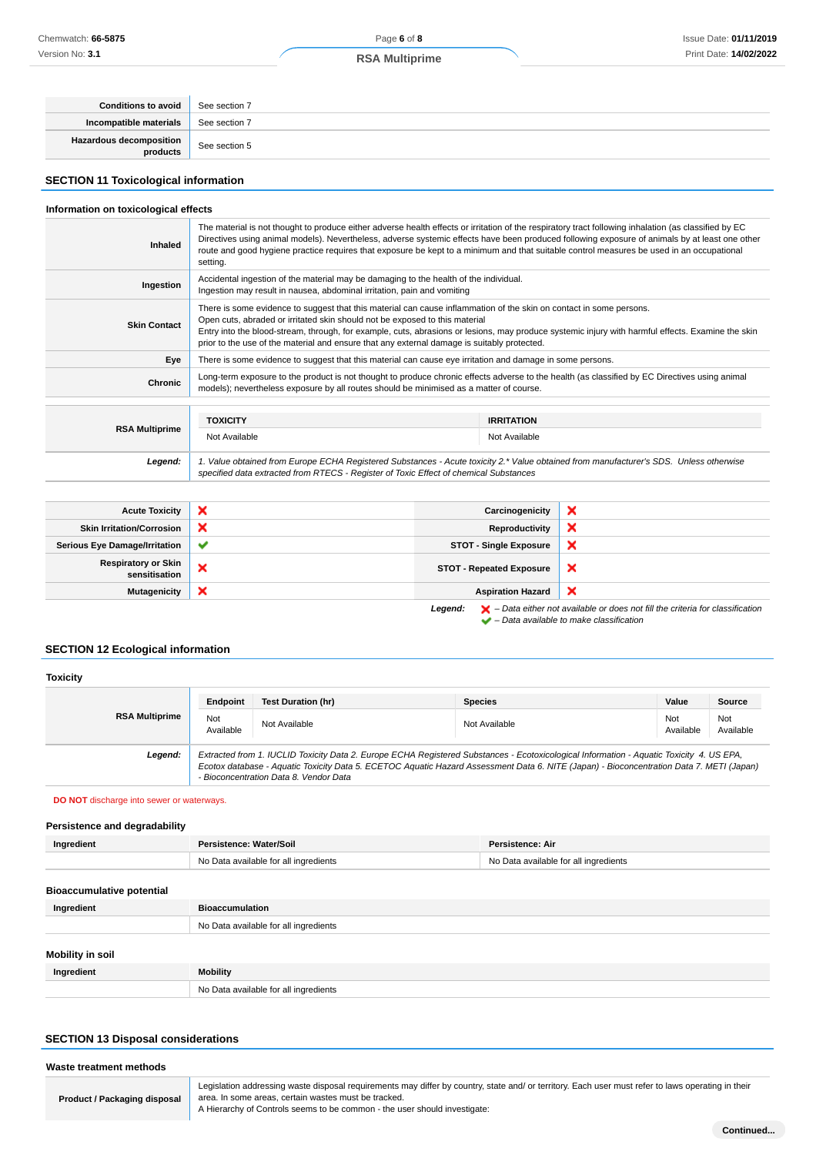| Conditions to avoid                 | See section 7 |
|-------------------------------------|---------------|
| Incompatible materials              | See section 7 |
| Hazardous decomposition<br>products | See section 5 |

### **SECTION 11 Toxicological information**

#### **Information on toxicological effects**

| Inhaled               | The material is not thought to produce either adverse health effects or irritation of the respiratory tract following inhalation (as classified by EC<br>Directives using animal models). Nevertheless, adverse systemic effects have been produced following exposure of animals by at least one other<br>route and good hygiene practice requires that exposure be kept to a minimum and that suitable control measures be used in an occupational<br>setting. |                                    |  |
|-----------------------|------------------------------------------------------------------------------------------------------------------------------------------------------------------------------------------------------------------------------------------------------------------------------------------------------------------------------------------------------------------------------------------------------------------------------------------------------------------|------------------------------------|--|
| Ingestion             | Accidental ingestion of the material may be damaging to the health of the individual.<br>Ingestion may result in nausea, abdominal irritation, pain and vomiting                                                                                                                                                                                                                                                                                                 |                                    |  |
| <b>Skin Contact</b>   | There is some evidence to suggest that this material can cause inflammation of the skin on contact in some persons.<br>Open cuts, abraded or irritated skin should not be exposed to this material<br>Entry into the blood-stream, through, for example, cuts, abrasions or lesions, may produce systemic injury with harmful effects. Examine the skin<br>prior to the use of the material and ensure that any external damage is suitably protected.           |                                    |  |
| Eye                   | There is some evidence to suggest that this material can cause eye irritation and damage in some persons.                                                                                                                                                                                                                                                                                                                                                        |                                    |  |
| <b>Chronic</b>        | Long-term exposure to the product is not thought to produce chronic effects adverse to the health (as classified by EC Directives using animal<br>models); nevertheless exposure by all routes should be minimised as a matter of course.                                                                                                                                                                                                                        |                                    |  |
| <b>RSA Multiprime</b> | <b>TOXICITY</b><br>Not Available                                                                                                                                                                                                                                                                                                                                                                                                                                 | <b>IRRITATION</b><br>Not Available |  |

**Legend:** 1. Value obtained from Europe ECHA Registered Substances - Acute toxicity 2.\* Value obtained from manufacturer's SDS. Unless otherwise specified data extracted from RTECS - Register of Toxic Effect of chemical Substances

| <b>Acute Toxicity</b>                       | $\boldsymbol{\mathsf{x}}$ | Carcinogenicity                 | ×                                                                                                  |
|---------------------------------------------|---------------------------|---------------------------------|----------------------------------------------------------------------------------------------------|
| <b>Skin Irritation/Corrosion</b>            | ×                         | Reproductivity                  | ×                                                                                                  |
| <b>Serious Eye Damage/Irritation</b>        | $\checkmark$              | <b>STOT - Single Exposure</b>   | ×                                                                                                  |
| <b>Respiratory or Skin</b><br>sensitisation | ×                         | <b>STOT - Repeated Exposure</b> | ×                                                                                                  |
| <b>Mutagenicity</b>                         | ×                         | <b>Aspiration Hazard</b>        | ×                                                                                                  |
|                                             |                           | Leaend:                         | $\blacktriangleright$ - Data either not available or does not fill the criteria for classification |

 $\blacktriangleright$  – Data either not available to make classification

### **SECTION 12 Ecological information**

#### **Toxicity RSA Multiprime Endpoint Test Duration (hr) Species Value Source** Not Not Not Available Not Available Not Available Not Available Not Available Not Ava<br>Available Ava Available Not Available **Legend:** Extracted from 1. IUCLID Toxicity Data 2. Europe ECHA Registered Substances - Ecotoxicological Information - Aquatic Toxicity 4. US EPA, Ecotox database - Aquatic Toxicity Data 5. ECETOC Aquatic Hazard Assessment Data 6. NITE (Japan) - Bioconcentration Data 7. METI (Japan) - Bioconcentration Data 8. Vendor Data

**DO NOT** discharge into sewer or waterways.

#### **Persistence and degradability**

| Ingredient                       | Persistence: Water/Soil               | Persistence: Air                      |
|----------------------------------|---------------------------------------|---------------------------------------|
|                                  | No Data available for all ingredients | No Data available for all ingredients |
| <b>Bioaccumulative potential</b> |                                       |                                       |
| Ingredient                       | <b>Bioaccumulation</b>                |                                       |

|                         | --------------------                  |
|-------------------------|---------------------------------------|
|                         | No Data available for all ingredients |
|                         |                                       |
| <b>Mobility in soil</b> |                                       |
| Ingredient              | <b>Mobility</b>                       |
|                         | No Data available for all ingredients |

#### **SECTION 13 Disposal considerations**

| Waste treatment methods             |                                                                                                                                                                                                                                                                                         |
|-------------------------------------|-----------------------------------------------------------------------------------------------------------------------------------------------------------------------------------------------------------------------------------------------------------------------------------------|
| <b>Product / Packaging disposal</b> | Legislation addressing waste disposal requirements may differ by country, state and/ or territory. Each user must refer to laws operating in their<br>area. In some areas, certain wastes must be tracked.<br>A Hierarchy of Controls seems to be common - the user should investigate: |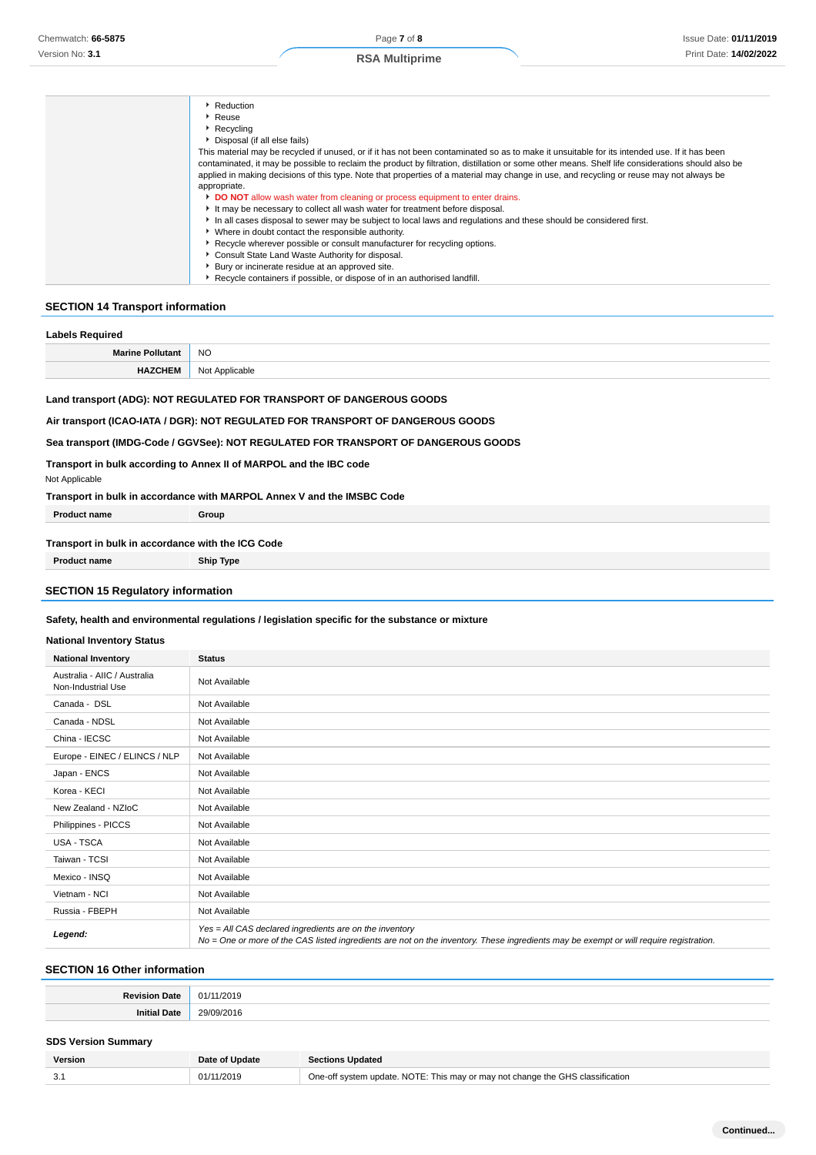| Reduction                                                                                                                                         |
|---------------------------------------------------------------------------------------------------------------------------------------------------|
| Reuse                                                                                                                                             |
| $\triangleright$ Recycling                                                                                                                        |
| Disposal (if all else fails)                                                                                                                      |
| This material may be recycled if unused, or if it has not been contaminated so as to make it unsuitable for its intended use. If it has been      |
| contaminated, it may be possible to reclaim the product by filtration, distillation or some other means. Shelf life considerations should also be |
| applied in making decisions of this type. Note that properties of a material may change in use, and recycling or reuse may not always be          |
| appropriate.                                                                                                                                      |
| DO NOT allow wash water from cleaning or process equipment to enter drains.                                                                       |
| It may be necessary to collect all wash water for treatment before disposal.                                                                      |
| In all cases disposal to sewer may be subject to local laws and requlations and these should be considered first.                                 |
| • Where in doubt contact the responsible authority.                                                                                               |
| ▶ Recycle wherever possible or consult manufacturer for recycling options.                                                                        |
| Consult State Land Waste Authority for disposal.                                                                                                  |
| Bury or incinerate residue at an approved site.                                                                                                   |
| ▶ Recycle containers if possible, or dispose of in an authorised landfill.                                                                        |
|                                                                                                                                                   |

### **SECTION 14 Transport information**

| <b>Labels Required</b>                                                                                                                                                                                                                        |                |  |  |  |
|-----------------------------------------------------------------------------------------------------------------------------------------------------------------------------------------------------------------------------------------------|----------------|--|--|--|
| <b>Marine Pollutant</b>                                                                                                                                                                                                                       | NO.            |  |  |  |
| <b>HAZCHEM</b>                                                                                                                                                                                                                                | Not Applicable |  |  |  |
| Land transport (ADG): NOT REGULATED FOR TRANSPORT OF DANGEROUS GOODS<br>Air transport (ICAO-IATA / DGR): NOT REGULATED FOR TRANSPORT OF DANGEROUS GOODS<br>Sea transport (IMDG-Code / GGVSee): NOT REGULATED FOR TRANSPORT OF DANGEROUS GOODS |                |  |  |  |
| Transport in bulk according to Annex II of MARPOL and the IBC code                                                                                                                                                                            |                |  |  |  |
| Not Applicable                                                                                                                                                                                                                                |                |  |  |  |

**Transport in bulk in accordance with MARPOL Annex V and the IMSBC Code**

| <b>Product name</b>                               | Group |  |  |  |
|---------------------------------------------------|-------|--|--|--|
| Transport in bulk in accordance with the ICG Code |       |  |  |  |

# **Product name Ship Type SECTION 15 Regulatory information**

#### **Safety, health and environmental regulations / legislation specific for the substance or mixture**

#### **National Inventory Status**

| <b>National Inventory Status</b>                   |                                                                                                                                                                                                   |  |  |  |
|----------------------------------------------------|---------------------------------------------------------------------------------------------------------------------------------------------------------------------------------------------------|--|--|--|
| <b>National Inventory</b>                          | <b>Status</b>                                                                                                                                                                                     |  |  |  |
| Australia - AIIC / Australia<br>Non-Industrial Use | Not Available                                                                                                                                                                                     |  |  |  |
| Canada - DSL                                       | Not Available                                                                                                                                                                                     |  |  |  |
| Canada - NDSL                                      | Not Available                                                                                                                                                                                     |  |  |  |
| China - IECSC                                      | Not Available                                                                                                                                                                                     |  |  |  |
| Europe - EINEC / ELINCS / NLP                      | Not Available                                                                                                                                                                                     |  |  |  |
| Japan - ENCS                                       | Not Available                                                                                                                                                                                     |  |  |  |
| Korea - KECI                                       | Not Available                                                                                                                                                                                     |  |  |  |
| New Zealand - NZIoC                                | Not Available                                                                                                                                                                                     |  |  |  |
| Philippines - PICCS                                | Not Available                                                                                                                                                                                     |  |  |  |
| USA - TSCA                                         | Not Available                                                                                                                                                                                     |  |  |  |
| Taiwan - TCSI                                      | Not Available                                                                                                                                                                                     |  |  |  |
| Mexico - INSQ                                      | Not Available                                                                                                                                                                                     |  |  |  |
| Vietnam - NCI                                      | Not Available                                                                                                                                                                                     |  |  |  |
| Russia - FBEPH                                     | Not Available                                                                                                                                                                                     |  |  |  |
| Legend:                                            | Yes = All CAS declared ingredients are on the inventory<br>No = One or more of the CAS listed ingredients are not on the inventory. These ingredients may be exempt or will require registration. |  |  |  |

### **SECTION 16 Other information**

### **SDS Version Summary**

| Version | Date of Update | <b>Sections Updated</b>                                                        |
|---------|----------------|--------------------------------------------------------------------------------|
|         | 01/11/2019     | One-off system update. NOTE: This may or may not change the GHS classification |